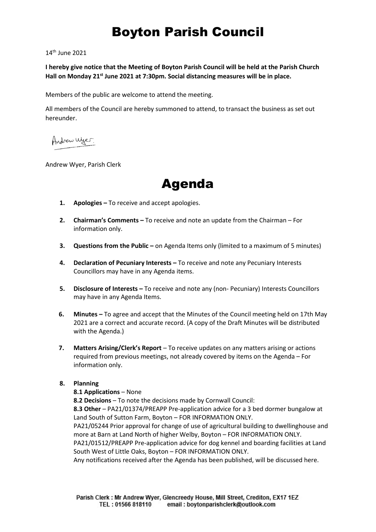# Boyton Parish Council

14<sup>th</sup> June 2021

**I hereby give notice that the Meeting of Boyton Parish Council will be held at the Parish Church Hall on Monday 21st June 2021 at 7:30pm. Social distancing measures will be in place.** 

Members of the public are welcome to attend the meeting.

All members of the Council are hereby summoned to attend, to transact the business as set out hereunder.

Andrew Wyer.

Andrew Wyer, Parish Clerk

Agenda

- **1. Apologies –** To receive and accept apologies.
- **2. Chairman's Comments –** To receive and note an update from the Chairman For information only.
- **3. Questions from the Public –** on Agenda Items only (limited to a maximum of 5 minutes)
- **4. Declaration of Pecuniary Interests –** To receive and note any Pecuniary Interests Councillors may have in any Agenda items.
- **5. Disclosure of Interests –** To receive and note any (non- Pecuniary) Interests Councillors may have in any Agenda Items.
- **6. Minutes –** To agree and accept that the Minutes of the Council meeting held on 17th May 2021 are a correct and accurate record. (A copy of the Draft Minutes will be distributed with the Agenda.)
- **7. Matters Arising/Clerk's Report** To receive updates on any matters arising or actions required from previous meetings, not already covered by items on the Agenda – For information only.

# **8. Planning**

# **8.1 Applications** – None

**8.2 Decisions** – To note the decisions made by Cornwall Council: **8.3 Other** – PA21/01374/PREAPP Pre-application advice for a 3 bed dormer bungalow at Land South of Sutton Farm, Boyton – FOR INFORMATION ONLY. PA21/05244 Prior approval for change of use of agricultural building to dwellinghouse and more at Barn at Land North of higher Welby, Boyton – FOR INFORMATION ONLY. PA21/01512/PREAPP Pre-application advice for dog kennel and boarding facilities at Land South West of Little Oaks, Boyton – FOR INFORMATION ONLY.

Any notifications received after the Agenda has been published, will be discussed here.